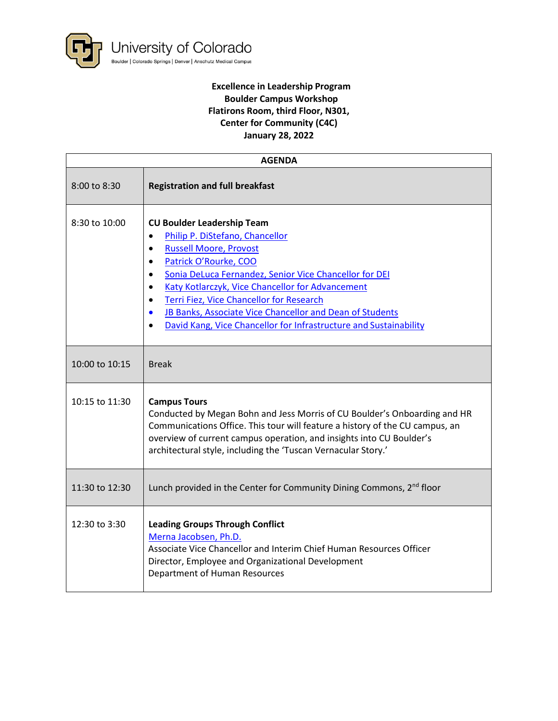

## **Excellence in Leadership Program Boulder Campus Workshop Flatirons Room, third Floor, N301, Center for Community (C4C) January 28, 2022**

| <b>AGENDA</b>  |                                                                                                                                                                                                                                                                                                                                                                                                                                                                                                                      |
|----------------|----------------------------------------------------------------------------------------------------------------------------------------------------------------------------------------------------------------------------------------------------------------------------------------------------------------------------------------------------------------------------------------------------------------------------------------------------------------------------------------------------------------------|
| 8:00 to 8:30   | <b>Registration and full breakfast</b>                                                                                                                                                                                                                                                                                                                                                                                                                                                                               |
| 8:30 to 10:00  | <b>CU Boulder Leadership Team</b><br>Philip P. DiStefano, Chancellor<br>$\bullet$<br><b>Russell Moore, Provost</b><br>$\bullet$<br>Patrick O'Rourke, COO<br>$\bullet$<br>Sonia DeLuca Fernandez, Senior Vice Chancellor for DEI<br>$\bullet$<br>Katy Kotlarczyk, Vice Chancellor for Advancement<br>$\bullet$<br>Terri Fiez, Vice Chancellor for Research<br>$\bullet$<br>JB Banks, Associate Vice Chancellor and Dean of Students<br>$\bullet$<br>David Kang, Vice Chancellor for Infrastructure and Sustainability |
| 10:00 to 10:15 | <b>Break</b>                                                                                                                                                                                                                                                                                                                                                                                                                                                                                                         |
| 10:15 to 11:30 | <b>Campus Tours</b><br>Conducted by Megan Bohn and Jess Morris of CU Boulder's Onboarding and HR<br>Communications Office. This tour will feature a history of the CU campus, an<br>overview of current campus operation, and insights into CU Boulder's<br>architectural style, including the 'Tuscan Vernacular Story.'                                                                                                                                                                                            |
| 11:30 to 12:30 | Lunch provided in the Center for Community Dining Commons, 2 <sup>nd</sup> floor                                                                                                                                                                                                                                                                                                                                                                                                                                     |
| 12:30 to 3:30  | <b>Leading Groups Through Conflict</b><br>Merna Jacobsen, Ph.D.<br>Associate Vice Chancellor and Interim Chief Human Resources Officer<br>Director, Employee and Organizational Development<br>Department of Human Resources                                                                                                                                                                                                                                                                                         |